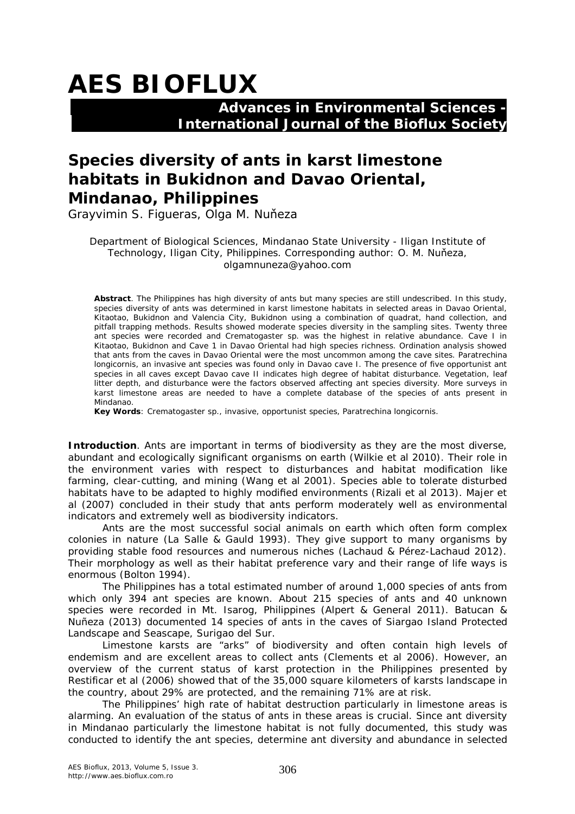# **AES BIOFLUX**

### **Advances in Environmental Sciences - International Journal of the Bioflux Society**

## **Species diversity of ants in karst limestone habitats in Bukidnon and Davao Oriental, Mindanao, Philippines**

Grayvimin S. Figueras, Olga M. Nuňeza

Department of Biological Sciences, Mindanao State University - Iligan Institute of Technology, Iligan City, Philippines. Corresponding author: O. M. Nuňeza, olgamnuneza@yahoo.com

**Abstract**. The Philippines has high diversity of ants but many species are still undescribed. In this study, species diversity of ants was determined in karst limestone habitats in selected areas in Davao Oriental, Kitaotao, Bukidnon and Valencia City, Bukidnon using a combination of quadrat, hand collection, and pitfall trapping methods. Results showed moderate species diversity in the sampling sites. Twenty three ant species were recorded and *Crematogaster* sp. was the highest in relative abundance. Cave I in Kitaotao, Bukidnon and Cave 1 in Davao Oriental had high species richness. Ordination analysis showed that ants from the caves in Davao Oriental were the most uncommon among the cave sites. *Paratrechina longicornis*, an invasive ant species was found only in Davao cave I. The presence of five opportunist ant species in all caves except Davao cave II indicates high degree of habitat disturbance. Vegetation, leaf litter depth, and disturbance were the factors observed affecting ant species diversity. More surveys in karst limestone areas are needed to have a complete database of the species of ants present in Mindanao.

**Key Words**: *Crematogaster* sp., invasive, opportunist species, *Paratrechina longicornis*.

**Introduction**. Ants are important in terms of biodiversity as they are the most diverse, abundant and ecologically significant organisms on earth (Wilkie et al 2010). Their role in the environment varies with respect to disturbances and habitat modification like farming, clear-cutting, and mining (Wang et al 2001). Species able to tolerate disturbed habitats have to be adapted to highly modified environments (Rizali et al 2013). Majer et al (2007) concluded in their study that ants perform moderately well as environmental indicators and extremely well as biodiversity indicators.

Ants are the most successful social animals on earth which often form complex colonies in nature (La Salle & Gauld 1993). They give support to many organisms by providing stable food resources and numerous niches (Lachaud & Pérez-Lachaud 2012). Their morphology as well as their habitat preference vary and their range of life ways is enormous (Bolton 1994).

The Philippines has a total estimated number of around 1,000 species of ants from which only 394 ant species are known. About 215 species of ants and 40 unknown species were recorded in Mt. Isarog, Philippines (Alpert & General 2011). Batucan & Nuñeza (2013) documented 14 species of ants in the caves of Siargao Island Protected Landscape and Seascape, Surigao del Sur.

Limestone karsts are "arks" of biodiversity and often contain high levels of endemism and are excellent areas to collect ants (Clements et al 2006). However, an overview of the current status of karst protection in the Philippines presented by Restificar et al (2006) showed that of the 35,000 square kilometers of karsts landscape in the country, about 29% are protected, and the remaining 71% are at risk.

The Philippines' high rate of habitat destruction particularly in limestone areas is alarming. An evaluation of the status of ants in these areas is crucial. Since ant diversity in Mindanao particularly the limestone habitat is not fully documented, this study was conducted to identify the ant species, determine ant diversity and abundance in selected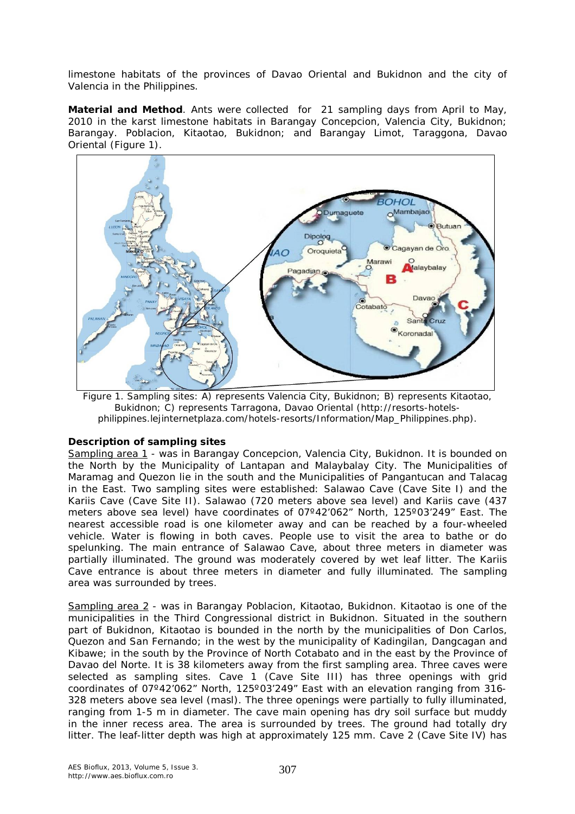limestone habitats of the provinces of Davao Oriental and Bukidnon and the city of Valencia in the Philippines.

**Material and Method**. Ants were collected for 21 sampling days from April to May, 2010 in the karst limestone habitats in Barangay Concepcion, Valencia City, Bukidnon; Barangay. Poblacion, Kitaotao, Bukidnon; and Barangay Limot, Taraggona, Davao Oriental (Figure 1).



Figure 1. Sampling sites: A) represents Valencia City, Bukidnon; B) represents Kitaotao, Bukidnon; C) represents Tarragona, Davao Oriental (http://resorts-hotelsphilippines.lejinternetplaza.com/hotels-resorts/Information/Map\_Philippines.php).

#### *Description of sampling sites*

*Sampling area 1* - was in Barangay Concepcion, Valencia City, Bukidnon. It is bounded on the North by the Municipality of Lantapan and Malaybalay City. The Municipalities of Maramag and Quezon lie in the south and the Municipalities of Pangantucan and Talacag in the East. Two sampling sites were established: Salawao Cave (Cave Site I) and the Kariis Cave (Cave Site II). Salawao (720 meters above sea level) and Kariis cave (437 meters above sea level) have coordinates of 07º42'062" North, 125º03'249" East. The nearest accessible road is one kilometer away and can be reached by a four-wheeled vehicle. Water is flowing in both caves. People use to visit the area to bathe or do spelunking. The main entrance of Salawao Cave, about three meters in diameter was partially illuminated. The ground was moderately covered by wet leaf litter. The Kariis Cave entrance is about three meters in diameter and fully illuminated. The sampling area was surrounded by trees.

*Sampling area 2* - was in Barangay Poblacion, Kitaotao, Bukidnon. Kitaotao is one of the municipalities in the Third Congressional district in Bukidnon. Situated in the southern part of Bukidnon, Kitaotao is bounded in the north by the municipalities of Don Carlos, Quezon and San Fernando; in the west by the municipality of Kadingilan, Dangcagan and Kibawe; in the south by the Province of North Cotabato and in the east by the Province of Davao del Norte. It is 38 kilometers away from the first sampling area. Three caves were selected as sampling sites. Cave 1 (Cave Site III) has three openings with grid coordinates of 07º42'062" North, 125º03'249" East with an elevation ranging from 316- 328 meters above sea level (masl). The three openings were partially to fully illuminated, ranging from 1-5 m in diameter. The cave main opening has dry soil surface but muddy in the inner recess area. The area is surrounded by trees. The ground had totally dry litter. The leaf-litter depth was high at approximately 125 mm. Cave 2 (Cave Site IV) has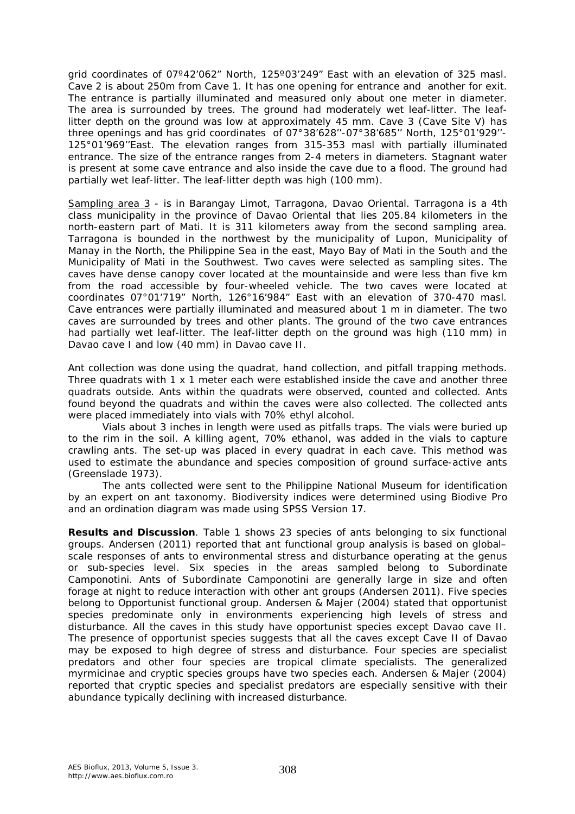grid coordinates of 07º42'062" North, 125º03'249" East with an elevation of 325 masl. Cave 2 is about 250m from Cave 1. It has one opening for entrance and another for exit. The entrance is partially illuminated and measured only about one meter in diameter. The area is surrounded by trees. The ground had moderately wet leaf-litter. The leaflitter depth on the ground was low at approximately 45 mm. Cave 3 (Cave Site V) has three openings and has grid coordinates of 07°38'628''-07°38'685'' North, 125°01'929''- 125°01'969''East. The elevation ranges from 315-353 masl with partially illuminated entrance. The size of the entrance ranges from 2-4 meters in diameters. Stagnant water is present at some cave entrance and also inside the cave due to a flood. The ground had partially wet leaf-litter. The leaf-litter depth was high (100 mm).

*Sampling area 3* - is in Barangay Limot, Tarragona, Davao Oriental. Tarragona is a 4th class municipality in the province of Davao Oriental that lies 205.84 kilometers in the north-eastern part of Mati. It is 311 kilometers away from the second sampling area. Tarragona is bounded in the northwest by the municipality of Lupon, Municipality of Manay in the North, the Philippine Sea in the east, Mayo Bay of Mati in the South and the Municipality of Mati in the Southwest. Two caves were selected as sampling sites. The caves have dense canopy cover located at the mountainside and were less than five km from the road accessible by four-wheeled vehicle. The two caves were located at coordinates 07°01'719" North, 126°16'984" East with an elevation of 370-470 masl. Cave entrances were partially illuminated and measured about 1 m in diameter. The two caves are surrounded by trees and other plants. The ground of the two cave entrances had partially wet leaf-litter. The leaf-litter depth on the ground was high (110 mm) in Davao cave I and low (40 mm) in Davao cave II.

Ant collection was done using the quadrat, hand collection, and pitfall trapping methods. Three quadrats with 1 x 1 meter each were established inside the cave and another three quadrats outside. Ants within the quadrats were observed, counted and collected. Ants found beyond the quadrats and within the caves were also collected. The collected ants were placed immediately into vials with 70% ethyl alcohol.

Vials about 3 inches in length were used as pitfalls traps. The vials were buried up to the rim in the soil. A killing agent, 70% ethanol, was added in the vials to capture crawling ants. The set-up was placed in every quadrat in each cave. This method was used to estimate the abundance and species composition of ground surface-active ants (Greenslade 1973).

The ants collected were sent to the Philippine National Museum for identification by an expert on ant taxonomy. Biodiversity indices were determined using Biodive Pro and an ordination diagram was made using SPSS Version 17.

**Results and Discussion**. Table 1 shows 23 species of ants belonging to six functional groups. Andersen (2011) reported that ant functional group analysis is based on global– scale responses of ants to environmental stress and disturbance operating at the genus or sub-species level. Six species in the areas sampled belong to Subordinate Camponotini. Ants of Subordinate Camponotini are generally large in size and often forage at night to reduce interaction with other ant groups (Andersen 2011). Five species belong to Opportunist functional group. Andersen & Majer (2004) stated that opportunist species predominate only in environments experiencing high levels of stress and disturbance. All the caves in this study have opportunist species except Davao cave II. The presence of opportunist species suggests that all the caves except Cave II of Davao may be exposed to high degree of stress and disturbance. Four species are specialist predators and other four species are tropical climate specialists. The generalized myrmicinae and cryptic species groups have two species each. Andersen & Majer (2004) reported that cryptic species and specialist predators are especially sensitive with their abundance typically declining with increased disturbance.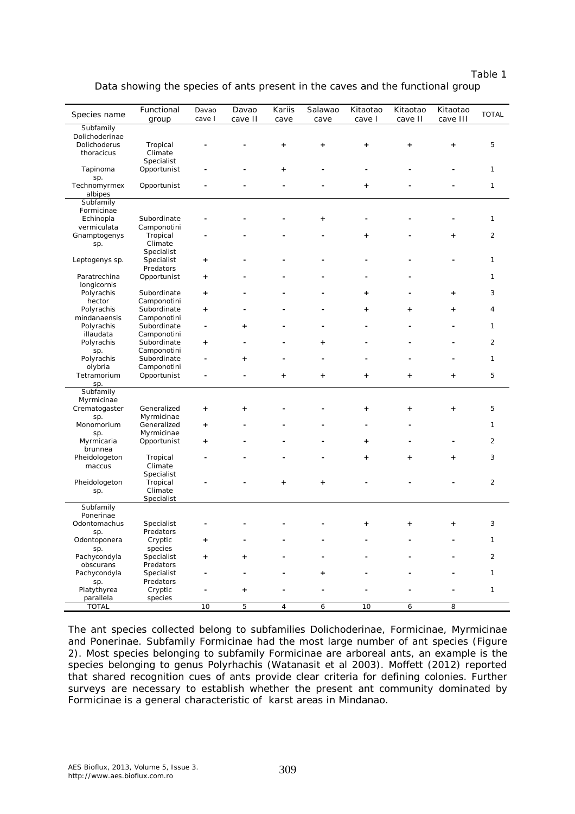| ⊲D" |  |
|-----|--|
|     |  |

|  |  |  | Data showing the species of ants present in the caves and the functional group |  |
|--|--|--|--------------------------------------------------------------------------------|--|
|--|--|--|--------------------------------------------------------------------------------|--|

| Species name<br><b>TOTAL</b><br>cave I<br>cave II<br>cave II<br>cave III<br>group<br>cave<br>cave<br>cave I<br>Subfamily<br>Dolichoderinae<br>Dolichoderus<br>Tropical<br>5<br>$\ddot{}$<br>$\ddot{}$<br>$\ddot{}$<br>$\ddot{}$<br>$\ddot{}$<br>Climate<br>thoracicus<br>Specialist<br>1<br>Tapinoma<br>Opportunist<br>$\ddot{}$<br>sp.<br>Technomyrmex<br>1<br>Opportunist<br>$\ddot{}$<br>albipes<br>Subfamily<br>Formicinae<br>Echinopla<br>Subordinate<br>1<br>$\ddot{}$<br>vermiculata<br>Camponotini<br>$\overline{c}$<br>Gnamptogenys<br>Tropical<br>$\ddot{}$<br>$\ddot{}$<br>Climate<br>sp.<br>Specialist<br>1<br>Leptogenys sp.<br>Specialist<br>$\ddot{}$<br>Predators<br>Paratrechina<br>Opportunist<br>1<br>$\ddot{}$<br>longicornis<br>3<br>Polyrachis<br>Subordinate<br>$\ddot{}$<br>$\ddot{}$<br>$\ddot{}$<br>hector<br>Camponotini<br>Subordinate<br>Polyrachis<br>4<br>$\ddot{}$<br>$\ddot{}$<br>+<br>+<br>mindanaensis<br>Camponotini<br>1<br>Polyrachis<br>Subordinate<br>$\ddot{}$<br>illaudata<br>Camponotini<br>$\overline{c}$<br>Subordinate<br>Polyrachis<br>$\ddot{}$<br>$\ddot{}$<br>Camponotini<br>sp.<br>Polyrachis<br>Subordinate<br>1<br>$\ddot{}$<br>olybria<br>Camponotini<br>5<br>Tetramorium<br>Opportunist<br>$\ddot{}$<br>$\ddot{}$<br>+<br>$\ddot{}$<br>$\ddot{}$<br>sp.<br>Subfamily<br>Myrmicinae<br>Crematogaster<br>Generalized<br>5<br>$\ddot{}$<br>$\ddot{}$<br>$\ddot{}$<br>$\ddot{}$<br>$\ddot{}$<br>Myrmicinae<br>sp.<br>Generalized<br>1<br>Monomorium<br>+<br>Myrmicinae<br>sp.<br>$\overline{2}$<br>Myrmicaria<br>Opportunist<br>$\ddot{}$<br>$\ddot{}$<br>brunnea<br>3<br>Pheidologeton<br>Tropical<br>$\ddot{}$<br>$\ddot{}$<br>$\ddot{}$<br>Climate<br>maccus<br>Specialist<br>Pheidologeton<br>$\overline{2}$<br>Tropical<br>$\ddot{}$<br>$\ddot{}$<br>Climate<br>sp.<br>Specialist<br>Subfamily<br>Ponerinae<br>Specialist<br>3<br>Odontomachus<br>$\ddot{}$<br>$\ddot{}$<br>$\ddot{}$<br>Predators<br>sp.<br>Cryptic<br>Odontoponera<br>1<br>species<br>sp.<br>Pachycondyla<br>2<br>Specialist<br>+<br>obscurans<br>Predators<br>Pachycondyla<br>Specialist<br>1<br>+<br>Predators<br>sp.<br>Platythyrea<br>Cryptic<br>1<br>+<br>parallela<br>species<br><b>TOTAL</b><br>5<br>10<br>4<br>6<br>10<br>6<br>8 |            |       |       |        |         |          |          |          |  |
|--------------------------------------------------------------------------------------------------------------------------------------------------------------------------------------------------------------------------------------------------------------------------------------------------------------------------------------------------------------------------------------------------------------------------------------------------------------------------------------------------------------------------------------------------------------------------------------------------------------------------------------------------------------------------------------------------------------------------------------------------------------------------------------------------------------------------------------------------------------------------------------------------------------------------------------------------------------------------------------------------------------------------------------------------------------------------------------------------------------------------------------------------------------------------------------------------------------------------------------------------------------------------------------------------------------------------------------------------------------------------------------------------------------------------------------------------------------------------------------------------------------------------------------------------------------------------------------------------------------------------------------------------------------------------------------------------------------------------------------------------------------------------------------------------------------------------------------------------------------------------------------------------------------------------------------------------------------------------------------------------------------------------------------------------------------------------------------------------------------------------------------------------------------------------------------------------------------------------------------------------------------------|------------|-------|-------|--------|---------|----------|----------|----------|--|
|                                                                                                                                                                                                                                                                                                                                                                                                                                                                                                                                                                                                                                                                                                                                                                                                                                                                                                                                                                                                                                                                                                                                                                                                                                                                                                                                                                                                                                                                                                                                                                                                                                                                                                                                                                                                                                                                                                                                                                                                                                                                                                                                                                                                                                                                    | Functional | Davao | Davao | Kariis | Salawao | Kitaotao | Kitaotao | Kitaotao |  |
|                                                                                                                                                                                                                                                                                                                                                                                                                                                                                                                                                                                                                                                                                                                                                                                                                                                                                                                                                                                                                                                                                                                                                                                                                                                                                                                                                                                                                                                                                                                                                                                                                                                                                                                                                                                                                                                                                                                                                                                                                                                                                                                                                                                                                                                                    |            |       |       |        |         |          |          |          |  |
|                                                                                                                                                                                                                                                                                                                                                                                                                                                                                                                                                                                                                                                                                                                                                                                                                                                                                                                                                                                                                                                                                                                                                                                                                                                                                                                                                                                                                                                                                                                                                                                                                                                                                                                                                                                                                                                                                                                                                                                                                                                                                                                                                                                                                                                                    |            |       |       |        |         |          |          |          |  |
|                                                                                                                                                                                                                                                                                                                                                                                                                                                                                                                                                                                                                                                                                                                                                                                                                                                                                                                                                                                                                                                                                                                                                                                                                                                                                                                                                                                                                                                                                                                                                                                                                                                                                                                                                                                                                                                                                                                                                                                                                                                                                                                                                                                                                                                                    |            |       |       |        |         |          |          |          |  |
|                                                                                                                                                                                                                                                                                                                                                                                                                                                                                                                                                                                                                                                                                                                                                                                                                                                                                                                                                                                                                                                                                                                                                                                                                                                                                                                                                                                                                                                                                                                                                                                                                                                                                                                                                                                                                                                                                                                                                                                                                                                                                                                                                                                                                                                                    |            |       |       |        |         |          |          |          |  |
|                                                                                                                                                                                                                                                                                                                                                                                                                                                                                                                                                                                                                                                                                                                                                                                                                                                                                                                                                                                                                                                                                                                                                                                                                                                                                                                                                                                                                                                                                                                                                                                                                                                                                                                                                                                                                                                                                                                                                                                                                                                                                                                                                                                                                                                                    |            |       |       |        |         |          |          |          |  |
|                                                                                                                                                                                                                                                                                                                                                                                                                                                                                                                                                                                                                                                                                                                                                                                                                                                                                                                                                                                                                                                                                                                                                                                                                                                                                                                                                                                                                                                                                                                                                                                                                                                                                                                                                                                                                                                                                                                                                                                                                                                                                                                                                                                                                                                                    |            |       |       |        |         |          |          |          |  |
|                                                                                                                                                                                                                                                                                                                                                                                                                                                                                                                                                                                                                                                                                                                                                                                                                                                                                                                                                                                                                                                                                                                                                                                                                                                                                                                                                                                                                                                                                                                                                                                                                                                                                                                                                                                                                                                                                                                                                                                                                                                                                                                                                                                                                                                                    |            |       |       |        |         |          |          |          |  |
|                                                                                                                                                                                                                                                                                                                                                                                                                                                                                                                                                                                                                                                                                                                                                                                                                                                                                                                                                                                                                                                                                                                                                                                                                                                                                                                                                                                                                                                                                                                                                                                                                                                                                                                                                                                                                                                                                                                                                                                                                                                                                                                                                                                                                                                                    |            |       |       |        |         |          |          |          |  |
|                                                                                                                                                                                                                                                                                                                                                                                                                                                                                                                                                                                                                                                                                                                                                                                                                                                                                                                                                                                                                                                                                                                                                                                                                                                                                                                                                                                                                                                                                                                                                                                                                                                                                                                                                                                                                                                                                                                                                                                                                                                                                                                                                                                                                                                                    |            |       |       |        |         |          |          |          |  |
|                                                                                                                                                                                                                                                                                                                                                                                                                                                                                                                                                                                                                                                                                                                                                                                                                                                                                                                                                                                                                                                                                                                                                                                                                                                                                                                                                                                                                                                                                                                                                                                                                                                                                                                                                                                                                                                                                                                                                                                                                                                                                                                                                                                                                                                                    |            |       |       |        |         |          |          |          |  |
|                                                                                                                                                                                                                                                                                                                                                                                                                                                                                                                                                                                                                                                                                                                                                                                                                                                                                                                                                                                                                                                                                                                                                                                                                                                                                                                                                                                                                                                                                                                                                                                                                                                                                                                                                                                                                                                                                                                                                                                                                                                                                                                                                                                                                                                                    |            |       |       |        |         |          |          |          |  |
|                                                                                                                                                                                                                                                                                                                                                                                                                                                                                                                                                                                                                                                                                                                                                                                                                                                                                                                                                                                                                                                                                                                                                                                                                                                                                                                                                                                                                                                                                                                                                                                                                                                                                                                                                                                                                                                                                                                                                                                                                                                                                                                                                                                                                                                                    |            |       |       |        |         |          |          |          |  |
|                                                                                                                                                                                                                                                                                                                                                                                                                                                                                                                                                                                                                                                                                                                                                                                                                                                                                                                                                                                                                                                                                                                                                                                                                                                                                                                                                                                                                                                                                                                                                                                                                                                                                                                                                                                                                                                                                                                                                                                                                                                                                                                                                                                                                                                                    |            |       |       |        |         |          |          |          |  |
|                                                                                                                                                                                                                                                                                                                                                                                                                                                                                                                                                                                                                                                                                                                                                                                                                                                                                                                                                                                                                                                                                                                                                                                                                                                                                                                                                                                                                                                                                                                                                                                                                                                                                                                                                                                                                                                                                                                                                                                                                                                                                                                                                                                                                                                                    |            |       |       |        |         |          |          |          |  |
|                                                                                                                                                                                                                                                                                                                                                                                                                                                                                                                                                                                                                                                                                                                                                                                                                                                                                                                                                                                                                                                                                                                                                                                                                                                                                                                                                                                                                                                                                                                                                                                                                                                                                                                                                                                                                                                                                                                                                                                                                                                                                                                                                                                                                                                                    |            |       |       |        |         |          |          |          |  |
|                                                                                                                                                                                                                                                                                                                                                                                                                                                                                                                                                                                                                                                                                                                                                                                                                                                                                                                                                                                                                                                                                                                                                                                                                                                                                                                                                                                                                                                                                                                                                                                                                                                                                                                                                                                                                                                                                                                                                                                                                                                                                                                                                                                                                                                                    |            |       |       |        |         |          |          |          |  |
|                                                                                                                                                                                                                                                                                                                                                                                                                                                                                                                                                                                                                                                                                                                                                                                                                                                                                                                                                                                                                                                                                                                                                                                                                                                                                                                                                                                                                                                                                                                                                                                                                                                                                                                                                                                                                                                                                                                                                                                                                                                                                                                                                                                                                                                                    |            |       |       |        |         |          |          |          |  |
|                                                                                                                                                                                                                                                                                                                                                                                                                                                                                                                                                                                                                                                                                                                                                                                                                                                                                                                                                                                                                                                                                                                                                                                                                                                                                                                                                                                                                                                                                                                                                                                                                                                                                                                                                                                                                                                                                                                                                                                                                                                                                                                                                                                                                                                                    |            |       |       |        |         |          |          |          |  |
|                                                                                                                                                                                                                                                                                                                                                                                                                                                                                                                                                                                                                                                                                                                                                                                                                                                                                                                                                                                                                                                                                                                                                                                                                                                                                                                                                                                                                                                                                                                                                                                                                                                                                                                                                                                                                                                                                                                                                                                                                                                                                                                                                                                                                                                                    |            |       |       |        |         |          |          |          |  |
|                                                                                                                                                                                                                                                                                                                                                                                                                                                                                                                                                                                                                                                                                                                                                                                                                                                                                                                                                                                                                                                                                                                                                                                                                                                                                                                                                                                                                                                                                                                                                                                                                                                                                                                                                                                                                                                                                                                                                                                                                                                                                                                                                                                                                                                                    |            |       |       |        |         |          |          |          |  |
|                                                                                                                                                                                                                                                                                                                                                                                                                                                                                                                                                                                                                                                                                                                                                                                                                                                                                                                                                                                                                                                                                                                                                                                                                                                                                                                                                                                                                                                                                                                                                                                                                                                                                                                                                                                                                                                                                                                                                                                                                                                                                                                                                                                                                                                                    |            |       |       |        |         |          |          |          |  |
|                                                                                                                                                                                                                                                                                                                                                                                                                                                                                                                                                                                                                                                                                                                                                                                                                                                                                                                                                                                                                                                                                                                                                                                                                                                                                                                                                                                                                                                                                                                                                                                                                                                                                                                                                                                                                                                                                                                                                                                                                                                                                                                                                                                                                                                                    |            |       |       |        |         |          |          |          |  |
|                                                                                                                                                                                                                                                                                                                                                                                                                                                                                                                                                                                                                                                                                                                                                                                                                                                                                                                                                                                                                                                                                                                                                                                                                                                                                                                                                                                                                                                                                                                                                                                                                                                                                                                                                                                                                                                                                                                                                                                                                                                                                                                                                                                                                                                                    |            |       |       |        |         |          |          |          |  |
|                                                                                                                                                                                                                                                                                                                                                                                                                                                                                                                                                                                                                                                                                                                                                                                                                                                                                                                                                                                                                                                                                                                                                                                                                                                                                                                                                                                                                                                                                                                                                                                                                                                                                                                                                                                                                                                                                                                                                                                                                                                                                                                                                                                                                                                                    |            |       |       |        |         |          |          |          |  |
|                                                                                                                                                                                                                                                                                                                                                                                                                                                                                                                                                                                                                                                                                                                                                                                                                                                                                                                                                                                                                                                                                                                                                                                                                                                                                                                                                                                                                                                                                                                                                                                                                                                                                                                                                                                                                                                                                                                                                                                                                                                                                                                                                                                                                                                                    |            |       |       |        |         |          |          |          |  |
|                                                                                                                                                                                                                                                                                                                                                                                                                                                                                                                                                                                                                                                                                                                                                                                                                                                                                                                                                                                                                                                                                                                                                                                                                                                                                                                                                                                                                                                                                                                                                                                                                                                                                                                                                                                                                                                                                                                                                                                                                                                                                                                                                                                                                                                                    |            |       |       |        |         |          |          |          |  |
|                                                                                                                                                                                                                                                                                                                                                                                                                                                                                                                                                                                                                                                                                                                                                                                                                                                                                                                                                                                                                                                                                                                                                                                                                                                                                                                                                                                                                                                                                                                                                                                                                                                                                                                                                                                                                                                                                                                                                                                                                                                                                                                                                                                                                                                                    |            |       |       |        |         |          |          |          |  |
|                                                                                                                                                                                                                                                                                                                                                                                                                                                                                                                                                                                                                                                                                                                                                                                                                                                                                                                                                                                                                                                                                                                                                                                                                                                                                                                                                                                                                                                                                                                                                                                                                                                                                                                                                                                                                                                                                                                                                                                                                                                                                                                                                                                                                                                                    |            |       |       |        |         |          |          |          |  |
|                                                                                                                                                                                                                                                                                                                                                                                                                                                                                                                                                                                                                                                                                                                                                                                                                                                                                                                                                                                                                                                                                                                                                                                                                                                                                                                                                                                                                                                                                                                                                                                                                                                                                                                                                                                                                                                                                                                                                                                                                                                                                                                                                                                                                                                                    |            |       |       |        |         |          |          |          |  |
|                                                                                                                                                                                                                                                                                                                                                                                                                                                                                                                                                                                                                                                                                                                                                                                                                                                                                                                                                                                                                                                                                                                                                                                                                                                                                                                                                                                                                                                                                                                                                                                                                                                                                                                                                                                                                                                                                                                                                                                                                                                                                                                                                                                                                                                                    |            |       |       |        |         |          |          |          |  |
|                                                                                                                                                                                                                                                                                                                                                                                                                                                                                                                                                                                                                                                                                                                                                                                                                                                                                                                                                                                                                                                                                                                                                                                                                                                                                                                                                                                                                                                                                                                                                                                                                                                                                                                                                                                                                                                                                                                                                                                                                                                                                                                                                                                                                                                                    |            |       |       |        |         |          |          |          |  |
|                                                                                                                                                                                                                                                                                                                                                                                                                                                                                                                                                                                                                                                                                                                                                                                                                                                                                                                                                                                                                                                                                                                                                                                                                                                                                                                                                                                                                                                                                                                                                                                                                                                                                                                                                                                                                                                                                                                                                                                                                                                                                                                                                                                                                                                                    |            |       |       |        |         |          |          |          |  |
|                                                                                                                                                                                                                                                                                                                                                                                                                                                                                                                                                                                                                                                                                                                                                                                                                                                                                                                                                                                                                                                                                                                                                                                                                                                                                                                                                                                                                                                                                                                                                                                                                                                                                                                                                                                                                                                                                                                                                                                                                                                                                                                                                                                                                                                                    |            |       |       |        |         |          |          |          |  |
|                                                                                                                                                                                                                                                                                                                                                                                                                                                                                                                                                                                                                                                                                                                                                                                                                                                                                                                                                                                                                                                                                                                                                                                                                                                                                                                                                                                                                                                                                                                                                                                                                                                                                                                                                                                                                                                                                                                                                                                                                                                                                                                                                                                                                                                                    |            |       |       |        |         |          |          |          |  |
|                                                                                                                                                                                                                                                                                                                                                                                                                                                                                                                                                                                                                                                                                                                                                                                                                                                                                                                                                                                                                                                                                                                                                                                                                                                                                                                                                                                                                                                                                                                                                                                                                                                                                                                                                                                                                                                                                                                                                                                                                                                                                                                                                                                                                                                                    |            |       |       |        |         |          |          |          |  |
|                                                                                                                                                                                                                                                                                                                                                                                                                                                                                                                                                                                                                                                                                                                                                                                                                                                                                                                                                                                                                                                                                                                                                                                                                                                                                                                                                                                                                                                                                                                                                                                                                                                                                                                                                                                                                                                                                                                                                                                                                                                                                                                                                                                                                                                                    |            |       |       |        |         |          |          |          |  |
|                                                                                                                                                                                                                                                                                                                                                                                                                                                                                                                                                                                                                                                                                                                                                                                                                                                                                                                                                                                                                                                                                                                                                                                                                                                                                                                                                                                                                                                                                                                                                                                                                                                                                                                                                                                                                                                                                                                                                                                                                                                                                                                                                                                                                                                                    |            |       |       |        |         |          |          |          |  |
|                                                                                                                                                                                                                                                                                                                                                                                                                                                                                                                                                                                                                                                                                                                                                                                                                                                                                                                                                                                                                                                                                                                                                                                                                                                                                                                                                                                                                                                                                                                                                                                                                                                                                                                                                                                                                                                                                                                                                                                                                                                                                                                                                                                                                                                                    |            |       |       |        |         |          |          |          |  |
|                                                                                                                                                                                                                                                                                                                                                                                                                                                                                                                                                                                                                                                                                                                                                                                                                                                                                                                                                                                                                                                                                                                                                                                                                                                                                                                                                                                                                                                                                                                                                                                                                                                                                                                                                                                                                                                                                                                                                                                                                                                                                                                                                                                                                                                                    |            |       |       |        |         |          |          |          |  |
|                                                                                                                                                                                                                                                                                                                                                                                                                                                                                                                                                                                                                                                                                                                                                                                                                                                                                                                                                                                                                                                                                                                                                                                                                                                                                                                                                                                                                                                                                                                                                                                                                                                                                                                                                                                                                                                                                                                                                                                                                                                                                                                                                                                                                                                                    |            |       |       |        |         |          |          |          |  |
|                                                                                                                                                                                                                                                                                                                                                                                                                                                                                                                                                                                                                                                                                                                                                                                                                                                                                                                                                                                                                                                                                                                                                                                                                                                                                                                                                                                                                                                                                                                                                                                                                                                                                                                                                                                                                                                                                                                                                                                                                                                                                                                                                                                                                                                                    |            |       |       |        |         |          |          |          |  |
|                                                                                                                                                                                                                                                                                                                                                                                                                                                                                                                                                                                                                                                                                                                                                                                                                                                                                                                                                                                                                                                                                                                                                                                                                                                                                                                                                                                                                                                                                                                                                                                                                                                                                                                                                                                                                                                                                                                                                                                                                                                                                                                                                                                                                                                                    |            |       |       |        |         |          |          |          |  |
|                                                                                                                                                                                                                                                                                                                                                                                                                                                                                                                                                                                                                                                                                                                                                                                                                                                                                                                                                                                                                                                                                                                                                                                                                                                                                                                                                                                                                                                                                                                                                                                                                                                                                                                                                                                                                                                                                                                                                                                                                                                                                                                                                                                                                                                                    |            |       |       |        |         |          |          |          |  |
|                                                                                                                                                                                                                                                                                                                                                                                                                                                                                                                                                                                                                                                                                                                                                                                                                                                                                                                                                                                                                                                                                                                                                                                                                                                                                                                                                                                                                                                                                                                                                                                                                                                                                                                                                                                                                                                                                                                                                                                                                                                                                                                                                                                                                                                                    |            |       |       |        |         |          |          |          |  |
|                                                                                                                                                                                                                                                                                                                                                                                                                                                                                                                                                                                                                                                                                                                                                                                                                                                                                                                                                                                                                                                                                                                                                                                                                                                                                                                                                                                                                                                                                                                                                                                                                                                                                                                                                                                                                                                                                                                                                                                                                                                                                                                                                                                                                                                                    |            |       |       |        |         |          |          |          |  |
|                                                                                                                                                                                                                                                                                                                                                                                                                                                                                                                                                                                                                                                                                                                                                                                                                                                                                                                                                                                                                                                                                                                                                                                                                                                                                                                                                                                                                                                                                                                                                                                                                                                                                                                                                                                                                                                                                                                                                                                                                                                                                                                                                                                                                                                                    |            |       |       |        |         |          |          |          |  |
|                                                                                                                                                                                                                                                                                                                                                                                                                                                                                                                                                                                                                                                                                                                                                                                                                                                                                                                                                                                                                                                                                                                                                                                                                                                                                                                                                                                                                                                                                                                                                                                                                                                                                                                                                                                                                                                                                                                                                                                                                                                                                                                                                                                                                                                                    |            |       |       |        |         |          |          |          |  |
|                                                                                                                                                                                                                                                                                                                                                                                                                                                                                                                                                                                                                                                                                                                                                                                                                                                                                                                                                                                                                                                                                                                                                                                                                                                                                                                                                                                                                                                                                                                                                                                                                                                                                                                                                                                                                                                                                                                                                                                                                                                                                                                                                                                                                                                                    |            |       |       |        |         |          |          |          |  |
|                                                                                                                                                                                                                                                                                                                                                                                                                                                                                                                                                                                                                                                                                                                                                                                                                                                                                                                                                                                                                                                                                                                                                                                                                                                                                                                                                                                                                                                                                                                                                                                                                                                                                                                                                                                                                                                                                                                                                                                                                                                                                                                                                                                                                                                                    |            |       |       |        |         |          |          |          |  |
|                                                                                                                                                                                                                                                                                                                                                                                                                                                                                                                                                                                                                                                                                                                                                                                                                                                                                                                                                                                                                                                                                                                                                                                                                                                                                                                                                                                                                                                                                                                                                                                                                                                                                                                                                                                                                                                                                                                                                                                                                                                                                                                                                                                                                                                                    |            |       |       |        |         |          |          |          |  |
|                                                                                                                                                                                                                                                                                                                                                                                                                                                                                                                                                                                                                                                                                                                                                                                                                                                                                                                                                                                                                                                                                                                                                                                                                                                                                                                                                                                                                                                                                                                                                                                                                                                                                                                                                                                                                                                                                                                                                                                                                                                                                                                                                                                                                                                                    |            |       |       |        |         |          |          |          |  |
|                                                                                                                                                                                                                                                                                                                                                                                                                                                                                                                                                                                                                                                                                                                                                                                                                                                                                                                                                                                                                                                                                                                                                                                                                                                                                                                                                                                                                                                                                                                                                                                                                                                                                                                                                                                                                                                                                                                                                                                                                                                                                                                                                                                                                                                                    |            |       |       |        |         |          |          |          |  |
|                                                                                                                                                                                                                                                                                                                                                                                                                                                                                                                                                                                                                                                                                                                                                                                                                                                                                                                                                                                                                                                                                                                                                                                                                                                                                                                                                                                                                                                                                                                                                                                                                                                                                                                                                                                                                                                                                                                                                                                                                                                                                                                                                                                                                                                                    |            |       |       |        |         |          |          |          |  |

The ant species collected belong to subfamilies Dolichoderinae, Formicinae, Myrmicinae and Ponerinae. Subfamily Formicinae had the most large number of ant species (Figure 2). Most species belonging to subfamily Formicinae are arboreal ants, an example is the species belonging to genus *Polyrhachis* (Watanasit et al 2003). Moffett (2012) reported that shared recognition cues of ants provide clear criteria for defining colonies. Further surveys are necessary to establish whether the present ant community dominated by Formicinae is a general characteristic of karst areas in Mindanao.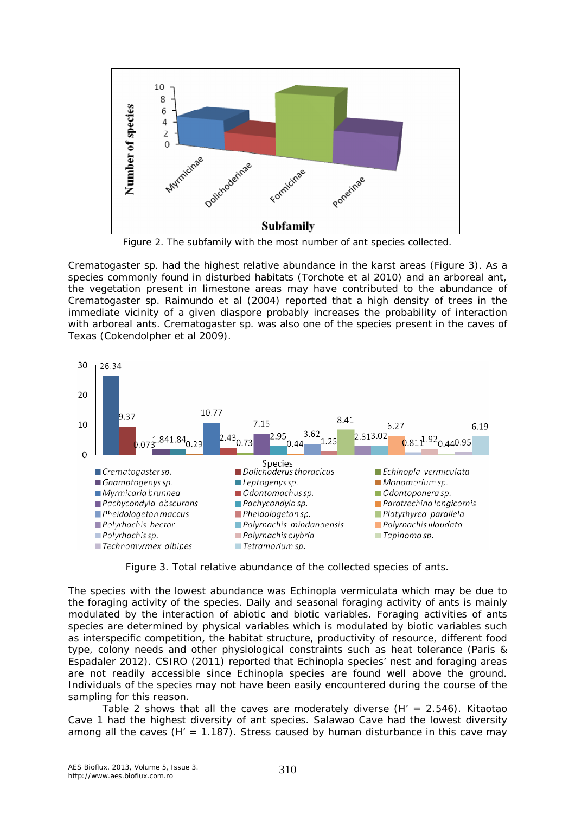

Figure 2. The subfamily with the most number of ant species collected.

*Crematogaster* sp. had the highest relative abundance in the karst areas (Figure 3). As a species commonly found in disturbed habitats (Torchote et al 2010) and an arboreal ant, the vegetation present in limestone areas may have contributed to the abundance of *Crematogaster* sp. Raimundo et al (2004) reported that a high density of trees in the immediate vicinity of a given diaspore probably increases the probability of interaction with arboreal ants. *Crematogaster* sp. was also one of the species present in the caves of Texas (Cokendolpher et al 2009).



Figure 3. Total relative abundance of the collected species of ants.

The species with the lowest abundance was *Echinopla vermiculata* which may be due to the foraging activity of the species. Daily and seasonal foraging activity of ants is mainly modulated by the interaction of abiotic and biotic variables. Foraging activities of ants species are determined by physical variables which is modulated by biotic variables such as interspecific competition, the habitat structure, productivity of resource, different food type, colony needs and other physiological constraints such as heat tolerance (Paris & Espadaler 2012). CSIRO (2011) reported that *Echinopla* species' nest and foraging areas are not readily accessible since *Echinopla* species are found well above the ground. Individuals of the species may not have been easily encountered during the course of the sampling for this reason.

Table 2 shows that all the caves are moderately diverse  $(H' = 2.546)$ . Kitaotao Cave 1 had the highest diversity of ant species. Salawao Cave had the lowest diversity among all the caves ( $H' = 1.187$ ). Stress caused by human disturbance in this cave may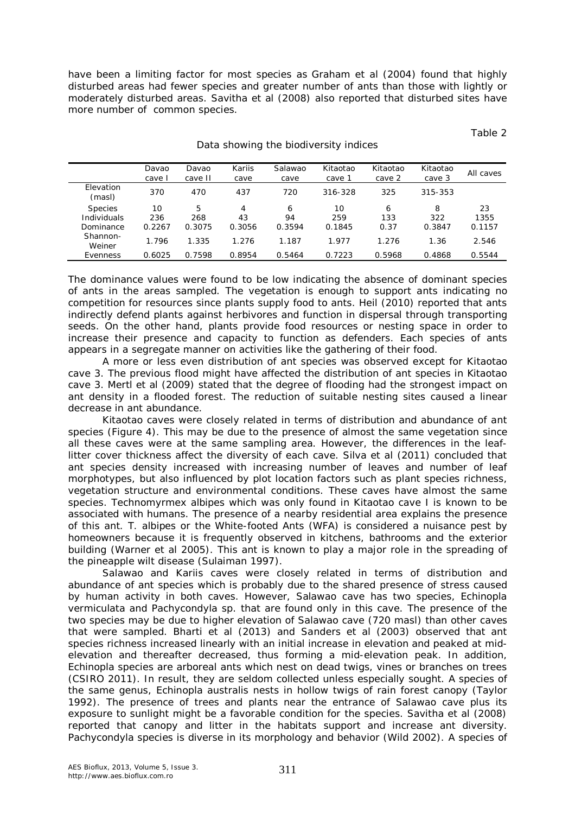have been a limiting factor for most species as Graham et al (2004) found that highly disturbed areas had fewer species and greater number of ants than those with lightly or moderately disturbed areas. Savitha et al (2008) also reported that disturbed sites have more number of common species.

Table 2

|                     | Davao<br>cave l | Davao<br>cave II | Kariis<br>cave | Salawao<br>cave | Kitaotao<br>cave 1 | Kitaotao<br>cave 2 | Kitaotao<br>cave 3 | All caves |
|---------------------|-----------------|------------------|----------------|-----------------|--------------------|--------------------|--------------------|-----------|
| Elevation<br>(masl) | 370             | 470              | 437            | 720             | 316-328            | 325                | 315-353            |           |
| <b>Species</b>      | 10              | 5                | 4              | 6               | 10                 | 6                  | 8                  | 23        |
| Individuals         | 236             | 268              | 43             | 94              | 259                | 133                | 322                | 1355      |
| Dominance           | 0.2267          | 0.3075           | 0.3056         | 0.3594          | 0.1845             | 0.37               | 0.3847             | 0.1157    |
| Shannon-<br>Weiner  | 1.796           | 1.335            | 1.276          | 1.187           | 1.977              | 1.276              | 1.36               | 2.546     |
| Evenness            | 0.6025          | 7598<br>Ω.       | 0.8954         | 0.5464          | 0.7223             | 0.5968             | 0.4868             | 0.5544    |

#### Data showing the biodiversity indices

The dominance values were found to be low indicating the absence of dominant species of ants in the areas sampled. The vegetation is enough to support ants indicating no competition for resources since plants supply food to ants. Heil (2010) reported that ants indirectly defend plants against herbivores and function in dispersal through transporting seeds. On the other hand, plants provide food resources or nesting space in order to increase their presence and capacity to function as defenders. Each species of ants appears in a segregate manner on activities like the gathering of their food.

A more or less even distribution of ant species was observed except for Kitaotao cave 3. The previous flood might have affected the distribution of ant species in Kitaotao cave 3. Mertl et al (2009) stated that the degree of flooding had the strongest impact on ant density in a flooded forest. The reduction of suitable nesting sites caused a linear decrease in ant abundance.

Kitaotao caves were closely related in terms of distribution and abundance of ant species (Figure 4). This may be due to the presence of almost the same vegetation since all these caves were at the same sampling area. However, the differences in the leaflitter cover thickness affect the diversity of each cave. Silva et al (2011) concluded that ant species density increased with increasing number of leaves and number of leaf morphotypes, but also influenced by plot location factors such as plant species richness, vegetation structure and environmental conditions. These caves have almost the same species. *Technomyrmex albipes* which was only found in Kitaotao cave I is known to be associated with humans. The presence of a nearby residential area explains the presence of this ant. *T. albipes* or the White-footed Ants (WFA) is considered a nuisance pest by homeowners because it is frequently observed in kitchens, bathrooms and the exterior building (Warner et al 2005). This ant is known to play a major role in the spreading of the pineapple wilt disease (Sulaiman 1997).

Salawao and Kariis caves were closely related in terms of distribution and abundance of ant species which is probably due to the shared presence of stress caused by human activity in both caves. However, Salawao cave has two species, *Echinopla vermiculata* and *Pachycondyla* sp. that are found only in this cave. The presence of the two species may be due to higher elevation of Salawao cave (720 masl) than other caves that were sampled. Bharti et al (2013) and Sanders et al (2003) observed that ant species richness increased linearly with an initial increase in elevation and peaked at midelevation and thereafter decreased, thus forming a mid-elevation peak. In addition, *Echinopla* species are arboreal ants which nest on dead twigs, vines or branches on trees (CSIRO 2011). In result, they are seldom collected unless especially sought. A species of the same genus, *Echinopla australis* nests in hollow twigs of rain forest canopy (Taylor 1992). The presence of trees and plants near the entrance of Salawao cave plus its exposure to sunlight might be a favorable condition for the species. Savitha et al (2008) reported that canopy and litter in the habitats support and increase ant diversity. *Pachycondyla* species is diverse in its morphology and behavior (Wild 2002). A species of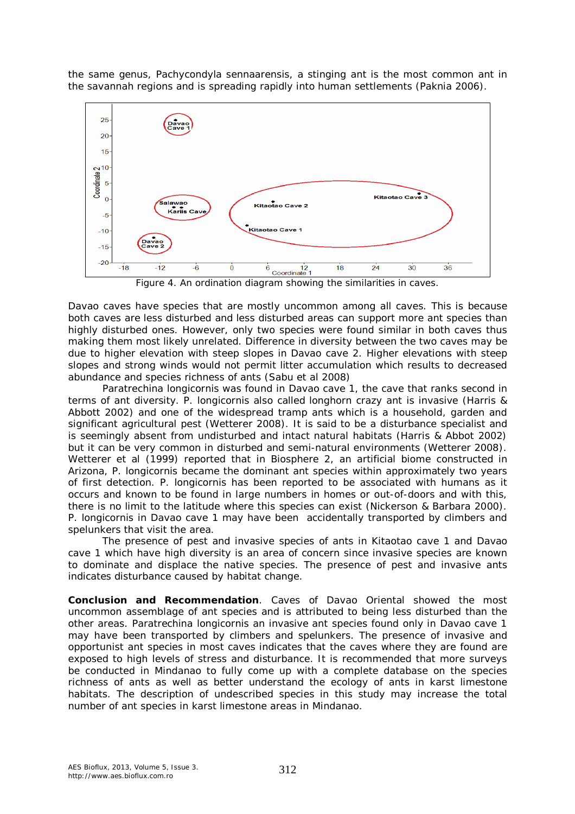the same genus, *Pachycondyla sennaarensis*, a stinging ant is the most common ant in the savannah regions and is spreading rapidly into human settlements (Paknia 2006).



Figure 4. An ordination diagram showing the similarities in caves.

Davao caves have species that are mostly uncommon among all caves. This is because both caves are less disturbed and less disturbed areas can support more ant species than highly disturbed ones. However, only two species were found similar in both caves thus making them most likely unrelated. Difference in diversity between the two caves may be due to higher elevation with steep slopes in Davao cave 2. Higher elevations with steep slopes and strong winds would not permit litter accumulation which results to decreased abundance and species richness of ants (Sabu et al 2008)

*Paratrechina longicornis* was found in Davao cave 1, the cave that ranks second in terms of ant diversity. *P. longicornis* also called longhorn crazy ant is invasive (Harris & Abbott 2002) and one of the widespread tramp ants which is a household, garden and significant agricultural pest (Wetterer 2008). It is said to be a disturbance specialist and is seemingly absent from undisturbed and intact natural habitats (Harris & Abbot 2002) but it can be very common in disturbed and semi-natural environments (Wetterer 2008). Wetterer et al (1999) reported that in Biosphere 2, an artificial biome constructed in Arizona, *P. longicornis* became the dominant ant species within approximately two years of first detection. *P. longicornis* has been reported to be associated with humans as it occurs and known to be found in large numbers in homes or out-of-doors and with this, there is no limit to the latitude where this species can exist (Nickerson & Barbara 2000). *P. longicornis* in Davao cave 1 may have been accidentally transported by climbers and spelunkers that visit the area.

The presence of pest and invasive species of ants in Kitaotao cave 1 and Davao cave 1 which have high diversity is an area of concern since invasive species are known to dominate and displace the native species. The presence of pest and invasive ants indicates disturbance caused by habitat change.

**Conclusion and Recommendation**. Caves of Davao Oriental showed the most uncommon assemblage of ant species and is attributed to being less disturbed than the other areas. *Paratrechina longicornis* an invasive ant species found only in Davao cave 1 may have been transported by climbers and spelunkers. The presence of invasive and opportunist ant species in most caves indicates that the caves where they are found are exposed to high levels of stress and disturbance. It is recommended that more surveys be conducted in Mindanao to fully come up with a complete database on the species richness of ants as well as better understand the ecology of ants in karst limestone habitats. The description of undescribed species in this study may increase the total number of ant species in karst limestone areas in Mindanao.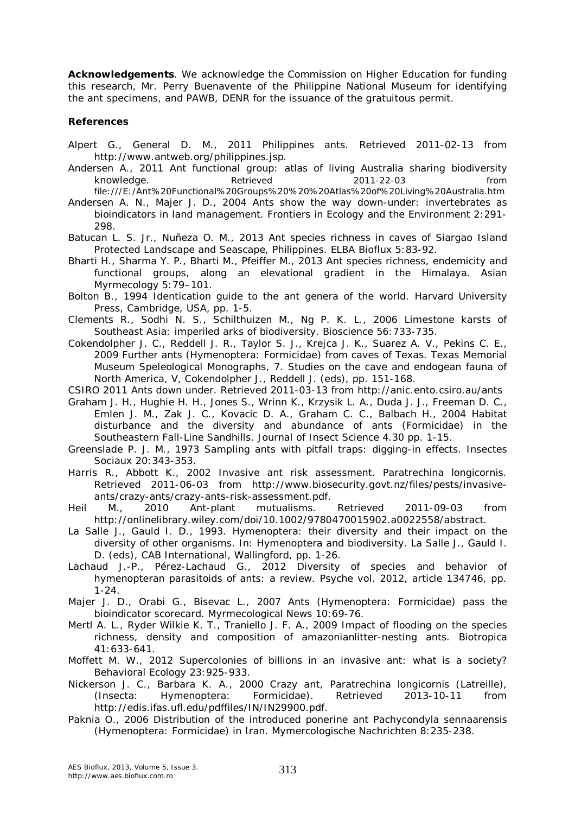**Acknowledgements**. We acknowledge the Commission on Higher Education for funding this research, Mr. Perry Buenavente of the Philippine National Museum for identifying the ant specimens, and PAWB, DENR for the issuance of the gratuitous permit.

#### **References**

- Alpert G., General D. M., 2011 Philippines ants. Retrieved 2011-02-13 from http://www.antweb.org/philippines.jsp.
- Andersen A., 2011 Ant functional group: atlas of living Australia sharing biodiversity knowledge. Retrieved 2011-22-03 from file:///E:/Ant%20Functional%20Groups%20%20%20Atlas%20of%20Living%20Australia.htm
- Andersen A. N., Majer J. D., 2004 Ants show the way down-under: invertebrates as bioindicators in land management. Frontiers in Ecology and the Environment 2:291- 298.
- Batucan L. S. Jr., Nuñeza O. M., 2013 Ant species richness in caves of Siargao Island Protected Landscape and Seascape, Philippines. ELBA Bioflux 5:83-92.
- Bharti H., Sharma Y. P., Bharti M., Pfeiffer M., 2013 Ant species richness, endemicity and functional groups, along an elevational gradient in the Himalaya. Asian Myrmecology 5:79–101.
- Bolton B., 1994 Identication guide to the ant genera of the world. Harvard University Press, Cambridge, USA, pp. 1-5.
- Clements R., Sodhi N. S., Schilthuizen M., Ng P. K. L., 2006 Limestone karsts of Southeast Asia: imperiled arks of biodiversity. Bioscience 56:733-735.
- Cokendolpher J. C., Reddell J. R., Taylor S. J., Krejca J. K., Suarez A. V., Pekins C. E., 2009 Further ants (Hymenoptera: Formicidae) from caves of Texas. Texas Memorial Museum Speleological Monographs, 7. Studies on the cave and endogean fauna of North America, V, Cokendolpher J., Reddell J. (eds), pp. 151-168.
- CSIRO 2011 Ants down under. Retrieved 2011-03-13 from http://anic.ento.csiro.au/ants
- Graham J. H., Hughie H. H., Jones S., Wrinn K., Krzysik L. A., Duda J. J., Freeman D. C., Emlen J. M., Zak J. C., Kovacic D. A., Graham C. C., Balbach H., 2004 Habitat disturbance and the diversity and abundance of ants (Formicidae) in the Southeastern Fall-Line Sandhills. Journal of Insect Science 4.30 pp. 1-15.
- Greenslade P. J. M., 1973 Sampling ants with pitfall traps: digging-in effects. Insectes Sociaux 20:343-353.
- Harris R., Abbott K., 2002 Invasive ant risk assessment. *Paratrechina longicornis*. Retrieved 2011-06-03 from http://www.biosecurity.govt.nz/files/pests/invasiveants/crazy-ants/crazy-ants-risk-assessment.pdf.
- Heil M., 2010 Ant-plant mutualisms. Retrieved 2011-09-03 from http://onlinelibrary.wiley.com/doi/10.1002/9780470015902.a0022558/abstract.
- La Salle J., Gauld I. D., 1993. Hymenoptera: their diversity and their impact on the diversity of other organisms. In: Hymenoptera and biodiversity. La Salle J., Gauld I. D. (eds), CAB International, Wallingford, pp. 1-26.
- Lachaud J.-P., Pérez-Lachaud G., 2012 Diversity of species and behavior of hymenopteran parasitoids of ants: a review. Psyche vol. 2012, article 134746, pp.  $1 - 24$ .
- Majer J. D., Orabi G., Bisevac L., 2007 Ants (Hymenoptera: Formicidae) pass the bioindicator scorecard. Myrmecological News 10:69-76.
- Mertl A. L., Ryder Wilkie K. T., Traniello J. F. A., 2009 Impact of flooding on the species richness, density and composition of amazonianlitter-nesting ants. Biotropica 41:633-641.
- Moffett M. W., 2012 Supercolonies of billions in an invasive ant: what is a society? Behavioral Ecology 23:925-933.
- Nickerson J. C., Barbara K. A., 2000 Crazy ant, *Paratrechina longicornis* (Latreille), (Insecta: Hymenoptera: Formicidae). Retrieved 2013-10-11 from http://edis.ifas.ufl.edu/pdffiles/IN/IN29900.pdf.
- Paknia O., 2006 Distribution of the introduced ponerine ant *Pachycondyla sennaarensis* (Hymenoptera: Formicidae) in Iran. Mymercologische Nachrichten 8:235-238.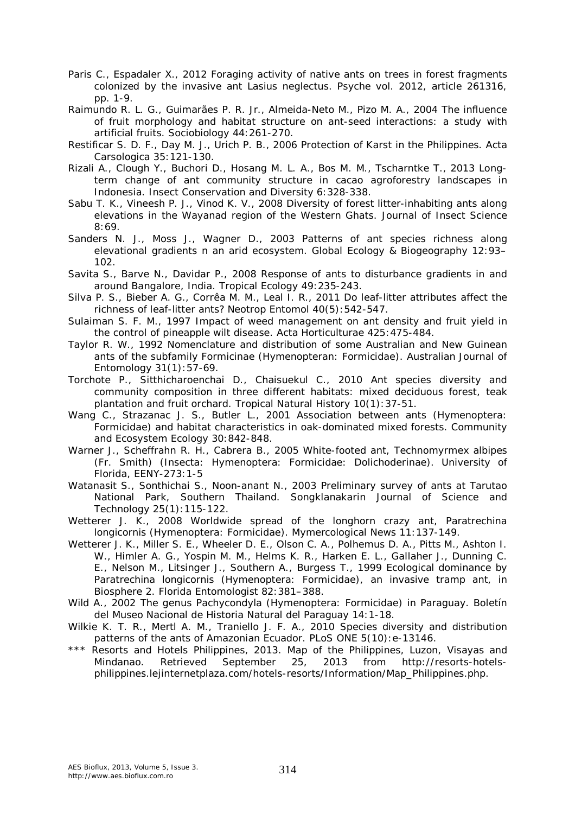- Paris C., Espadaler X., 2012 Foraging activity of native ants on trees in forest fragments colonized by the invasive ant *Lasius neglectus*. Psyche vol. 2012, article 261316, pp. 1-9.
- Raimundo R. L. G., Guimarães P. R. Jr., Almeida-Neto M., Pizo M. A., 2004 The influence of fruit morphology and habitat structure on ant-seed interactions: a study with artificial fruits. Sociobiology 44:261-270.
- Restificar S. D. F., Day M. J., Urich P. B., 2006 Protection of Karst in the Philippines. Acta Carsologica 35:121-130.
- Rizali A., Clough Y., Buchori D., Hosang M. L. A., Bos M. M., Tscharntke T., 2013 Longterm change of ant community structure in cacao agroforestry landscapes in Indonesia. Insect Conservation and Diversity 6:328-338.
- Sabu T. K., Vineesh P. J., Vinod K. V., 2008 Diversity of forest litter-inhabiting ants along elevations in the Wayanad region of the Western Ghats. Journal of Insect Science 8:69.
- Sanders N. J., Moss J., Wagner D., 2003 Patterns of ant species richness along elevational gradients n an arid ecosystem. Global Ecology & Biogeography 12:93– 102.
- Savita S., Barve N., Davidar P., 2008 Response of ants to disturbance gradients in and around Bangalore, India. Tropical Ecology 49:235-243.
- Silva P. S., Bieber A. G., Corrêa M. M., Leal I. R., 2011 Do leaf-litter attributes affect the richness of leaf-litter ants? Neotrop Entomol 40(5):542-547.
- Sulaiman S. F. M., 1997 Impact of weed management on ant density and fruit yield in the control of pineapple wilt disease. Acta Horticulturae 425:475-484.
- Taylor R. W., 1992 Nomenclature and distribution of some Australian and New Guinean ants of the subfamily Formicinae (Hymenopteran: Formicidae). Australian Journal of Entomology 31(1):57-69.
- Torchote P., Sitthicharoenchai D., Chaisuekul C., 2010 Ant species diversity and community composition in three different habitats: mixed deciduous forest, teak plantation and fruit orchard. Tropical Natural History 10(1):37-51.
- Wang C., Strazanac J. S., Butler L., 2001 Association between ants (Hymenoptera: Formicidae) and habitat characteristics in oak-dominated mixed forests. Community and Ecosystem Ecology 30:842-848.
- Warner J., Scheffrahn R. H., Cabrera B., 2005 White-footed ant, *Technomyrmex albipes* (Fr. Smith) (Insecta: Hymenoptera: Formicidae: Dolichoderinae). University of Florida, EENY-273:1-5
- Watanasit S., Sonthichai S., Noon-anant N., 2003 Preliminary survey of ants at Tarutao National Park, Southern Thailand. Songklanakarin Journal of Science and Technology 25(1):115-122.
- Wetterer J. K., 2008 Worldwide spread of the longhorn crazy ant, *Paratrechina longicornis* (Hymenoptera: Formicidae). Mymercological News 11:137-149.
- Wetterer J. K., Miller S. E., Wheeler D. E., Olson C. A., Polhemus D. A., Pitts M., Ashton I. W., Himler A. G., Yospin M. M., Helms K. R., Harken E. L., Gallaher J., Dunning C. E., Nelson M., Litsinger J., Southern A., Burgess T., 1999 Ecological dominance by *Paratrechina longicornis* (Hymenoptera: Formicidae), an invasive tramp ant, in Biosphere 2. Florida Entomologist 82:381–388.
- Wild A., 2002 The genus *Pachycondyla* (Hymenoptera: Formicidae) in Paraguay. Boletín del Museo Nacional de Historia Natural del Paraguay 14:1-18.
- Wilkie K. T. R., Mertl A. M., Traniello J. F. A., 2010 Species diversity and distribution patterns of the ants of Amazonian Ecuador. PLoS ONE 5(10): e-13146.
- \*\*\* Resorts and Hotels Philippines, 2013. Map of the Philippines, Luzon, Visayas and Mindanao. Retrieved September 25, 2013 from http://resorts-hotelsphilippines.lejinternetplaza.com/hotels-resorts/Information/Map\_Philippines.php.